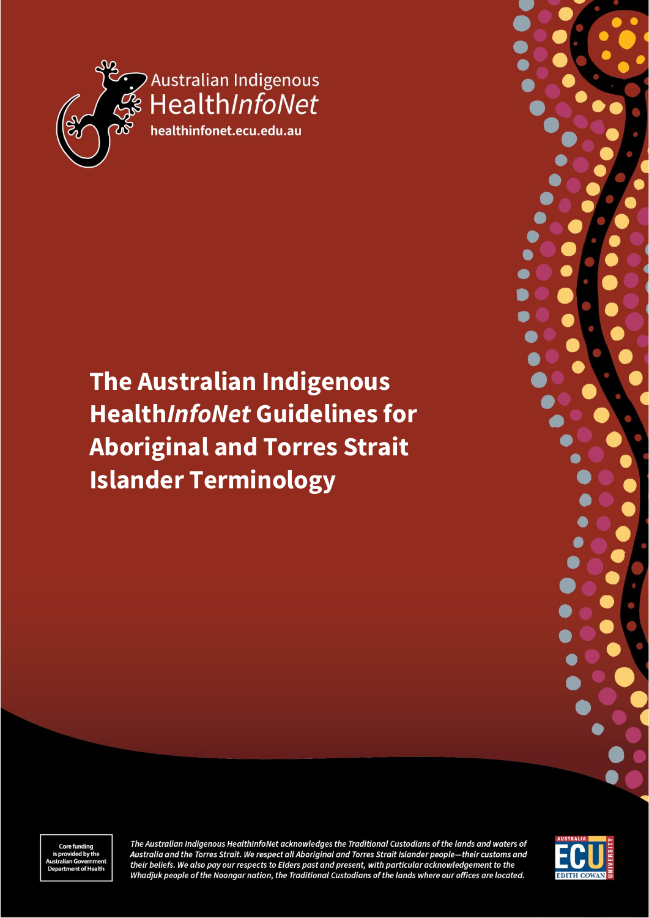

# **The Australian Indigenous Health***InfoNet* **Guidelines for Aboriginal and Torres Strait Islander Terminology**



The Australian Indigenous HealthInfoNet acknowledges the Traditional Custodians of the lands and waters of Australia and the Torres Strait. We respect all Aboriginal and Torres Strait Islander people-their customs and their beliefs. We also pay our respects to Elders past and present, with particular acknowledgement to the Whadjuk people of the Noongar nation, the Traditional Custodians of the lands where our offices are located.

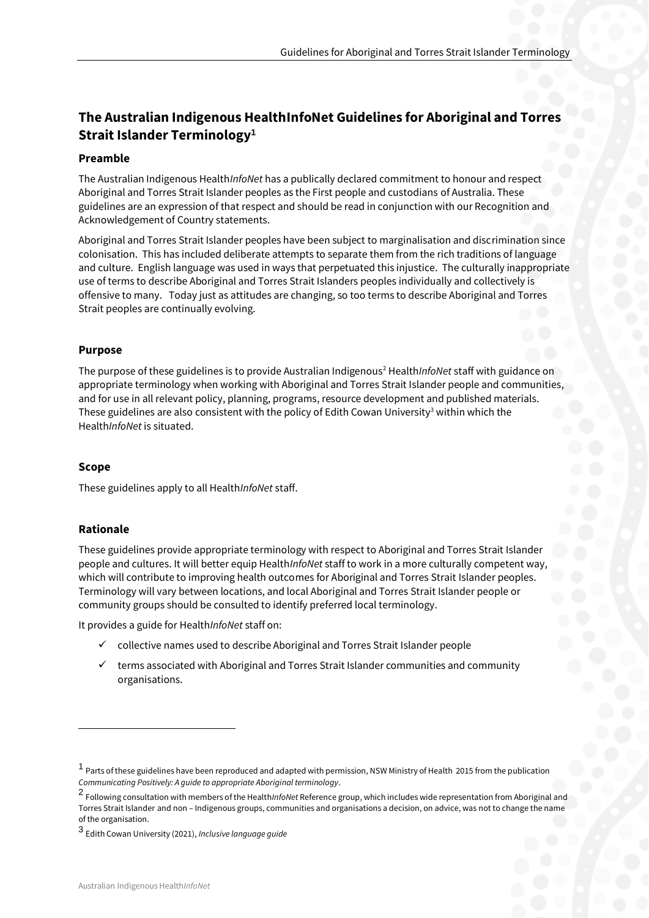# **The Australian Indigenous HealthInfoNet Guidelines for Aboriginal and Torres Strait Islander Terminology<sup>1</sup>**

#### **Preamble**

The Australian Indigenous Health*InfoNet* has a publically declared commitment to honour and respect Aboriginal and Torres Strait Islander peoples as the First people and custodians of Australia. These guidelines are an expression of that respect and should be read in conjunction with our Recognition and Acknowledgement of Country statements.

Aboriginal and Torres Strait Islander peoples have been subject to marginalisation and discrimination since colonisation. This has included deliberate attempts to separate them from the rich traditions of language and culture. English language was used in ways that perpetuated this injustice. The culturally inappropriate use of terms to describe Aboriginal and Torres Strait Islanders peoples individually and collectively is offensive to many. Today just as attitudes are changing, so too terms to describe Aboriginal and Torres Strait peoples are continually evolving.

# **Purpose**

The purpose of these guidelines is to provide Australian Indigenous<sup>2</sup> Health*InfoNet* staff with guidance on appropriate terminology when working with Aboriginal and Torres Strait Islander people and communities, and for use in all relevant policy, planning, programs, resource development and published materials. These guidelines are also consistent with the policy of Edith Cowan University<sup>3</sup> within which the Health*InfoNet* is situated.

# **Scope**

These guidelines apply to all Health*InfoNet* staff.

# **Rationale**

These guidelines provide appropriate terminology with respect to Aboriginal and Torres Strait Islander people and cultures. It will better equip Health*InfoNet* staff to work in a more culturally competent way, which will contribute to improving health outcomes for Aboriginal and Torres Strait Islander peoples. Terminology will vary between locations, and local Aboriginal and Torres Strait Islander people or community groups should be consulted to identify preferred local terminology.

It provides a guide for Health*InfoNet* staff on:

- collective names used to describe Aboriginal and Torres Strait Islander people
- terms associated with Aboriginal and Torres Strait Islander communities and community organisations.

<sup>&</sup>lt;sup>1</sup> Parts of these guidelines have been reproduced and adapted with permission, NSW Ministry of Health 2015 from the publication *Communicating Positively: A guide to appropriate Aboriginal terminology*.

<sup>2</sup> Following consultation with members of the Health*InfoNet* Reference group, which includes wide representation from Aboriginal and Torres Strait Islander and non – Indigenous groups, communities and organisations a decision, on advice, was not to change the name of the organisation.

<sup>3</sup> Edith Cowan University (2021), *Inclusive language guide*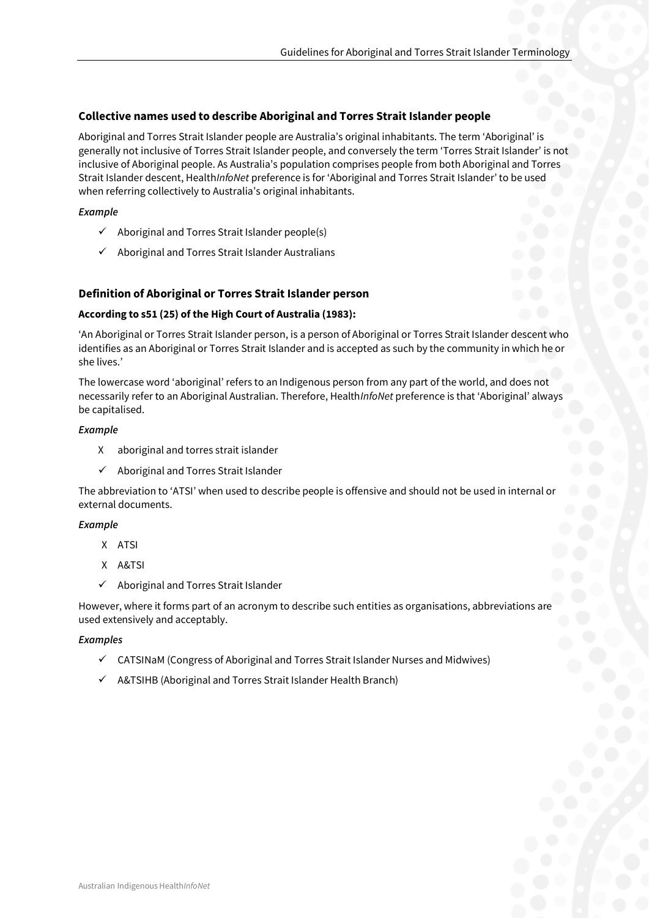#### **Collective names used to describe Aboriginal and Torres Strait Islander people**

Aboriginal and Torres Strait Islander people are Australia's original inhabitants. The term 'Aboriginal' is generally not inclusive of Torres Strait Islander people, and conversely the term 'Torres Strait Islander' is not inclusive of Aboriginal people. As Australia's population comprises people from both Aboriginal and Torres Strait Islander descent, Health*InfoNet* preference is for 'Aboriginal and Torres Strait Islander' to be used when referring collectively to Australia's original inhabitants.

#### *Example*

- $\checkmark$  Aboriginal and Torres Strait Islander people(s)
- ✓ Aboriginal and Torres Strait Islander Australians

# **Definition of Aboriginal or Torres Strait Islander person**

#### **According to s51 (25) of the High Court of Australia (1983):**

'An Aboriginal or Torres Strait Islander person, is a person of Aboriginal or Torres Strait Islander descent who identifies as an Aboriginal or Torres Strait Islander and is accepted as such by the community in which he or she lives.'

The lowercase word 'aboriginal' refers to an Indigenous person from any part of the world, and does not necessarily refer to an Aboriginal Australian. Therefore, Health*InfoNet* preference is that 'Aboriginal' always be capitalised.

#### *Example*

- X aboriginal and torres strait islander
- ✓ Aboriginal and Torres Strait Islander

The abbreviation to 'ATSI' when used to describe people is offensive and should not be used in internal or external documents.

#### *Example*

- X ATSI
- X A&TSI
- ✓ Aboriginal and Torres Strait Islander

However, where it forms part of an acronym to describe such entities as organisations, abbreviations are used extensively and acceptably.

#### *Examples*

- $\checkmark$  CATSINaM (Congress of Aboriginal and Torres Strait Islander Nurses and Midwives)
- $\checkmark$  A&TSIHB (Aboriginal and Torres Strait Islander Health Branch)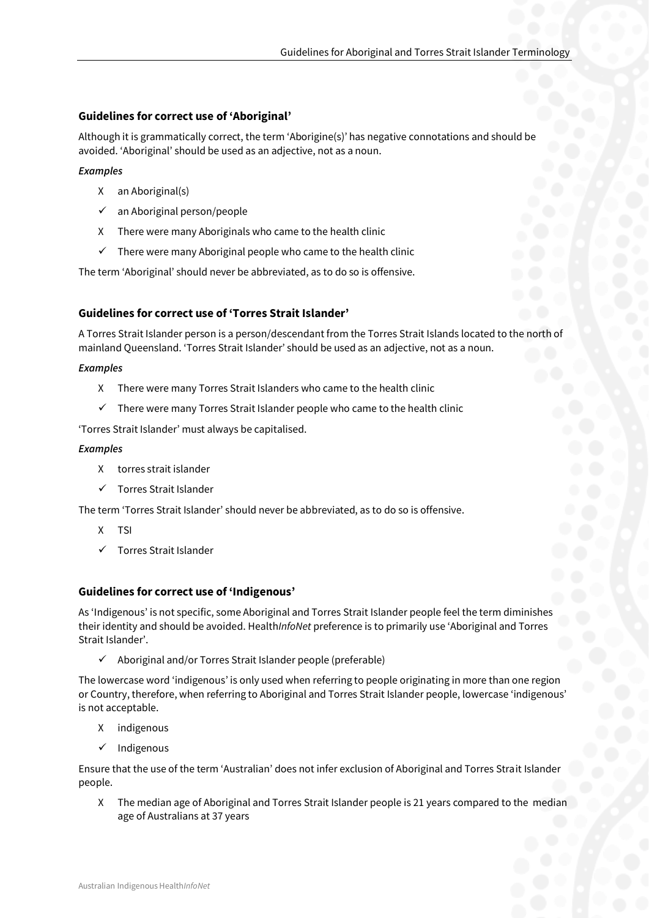#### **Guidelines for correct use of 'Aboriginal'**

Although it is grammatically correct, the term 'Aborigine(s)' has negative connotations and should be avoided. 'Aboriginal' should be used as an adjective, not as a noun.

#### *Examples*

- X an Aboriginal(s)
- $\checkmark$  an Aboriginal person/people
- X There were many Aboriginals who came to the health clinic
- $\checkmark$  There were many Aboriginal people who came to the health clinic

The term 'Aboriginal' should never be abbreviated, as to do so is offensive.

# **Guidelines for correct use of 'Torres Strait Islander'**

A Torres Strait Islander person is a person/descendant from the Torres Strait Islands located to the north of mainland Queensland. 'Torres Strait Islander' should be used as an adjective, not as a noun.

#### *Examples*

- X There were many Torres Strait Islanders who came to the health clinic
- $\checkmark$  There were many Torres Strait Islander people who came to the health clinic

'Torres Strait Islander' must always be capitalised.

#### *Examples*

- X torres strait islander
- ✓ Torres Strait Islander

The term 'Torres Strait Islander' should never be abbreviated, as to do so is offensive.

- X TSI
- ✓ Torres Strait Islander

#### **Guidelines for correct use of 'Indigenous'**

As 'Indigenous' is not specific, some Aboriginal and Torres Strait Islander people feel the term diminishes their identity and should be avoided. Health*InfoNet* preference is to primarily use 'Aboriginal and Torres Strait Islander'.

 $\checkmark$  Aboriginal and/or Torres Strait Islander people (preferable)

The lowercase word 'indigenous' is only used when referring to people originating in more than one region or Country, therefore, when referring to Aboriginal and Torres Strait Islander people, lowercase 'indigenous' is not acceptable.

- X indigenous
- ✓ Indigenous

Ensure that the use of the term 'Australian' does not infer exclusion of Aboriginal and Torres Strait Islander people.

X The median age of Aboriginal and Torres Strait Islander people is 21 years compared to the median age of Australians at 37 years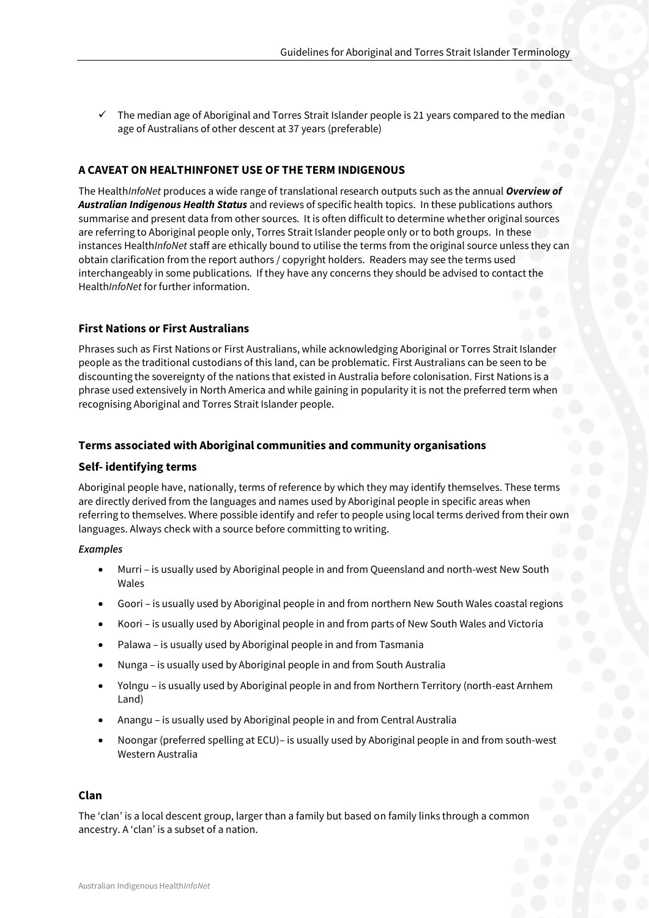$\checkmark$  The median age of Aboriginal and Torres Strait Islander people is 21 years compared to the median age of Australians of other descent at 37 years (preferable)

# **A CAVEAT ON HEALTHINFONET USE OF THE TERM INDIGENOUS**

The Health*InfoNet* produces a wide range of translational research outputs such as the annual *Overview of Australian Indigenous Health Status* and reviews of specific health topics. In these publications authors summarise and present data from other sources. It is often difficult to determine whether original sources are referring to Aboriginal people only, Torres Strait Islander people only or to both groups. In these instances Health*InfoNet* staff are ethically bound to utilise the terms from the original source unless they can obtain clarification from the report authors / copyright holders. Readers may see the terms used interchangeably in some publications. If they have any concerns they should be advised to contact the Health*InfoNet* for further information.

# **First Nations or First Australians**

Phrases such as First Nations or First Australians, while acknowledging Aboriginal or Torres Strait Islander people as the traditional custodians of this land, can be problematic. First Australians can be seen to be discounting the sovereignty of the nations that existed in Australia before colonisation. First Nations is a phrase used extensively in North America and while gaining in popularity it is not the preferred term when recognising Aboriginal and Torres Strait Islander people.

#### **Terms associated with Aboriginal communities and community organisations**

#### **Self- identifying terms**

Aboriginal people have, nationally, terms of reference by which they may identify themselves. These terms are directly derived from the languages and names used by Aboriginal people in specific areas when referring to themselves. Where possible identify and refer to people using local terms derived from their own languages. Always check with a source before committing to writing.

#### *Examples*

- Murri is usually used by Aboriginal people in and from Queensland and north-west New South Wales
- Goori is usually used by Aboriginal people in and from northern New South Wales coastal regions
- Koori is usually used by Aboriginal people in and from parts of New South Wales and Victoria
- Palawa is usually used by Aboriginal people in and from Tasmania
- Nunga is usually used by Aboriginal people in and from South Australia
- Yolngu is usually used by Aboriginal people in and from Northern Territory (north-east Arnhem Land)
- Anangu is usually used by Aboriginal people in and from Central Australia
- Noongar (preferred spelling at ECU)– is usually used by Aboriginal people in and from south-west Western Australia

#### **Clan**

The 'clan' is a local descent group, larger than a family but based on family links through a common ancestry. A 'clan' is a subset of a nation.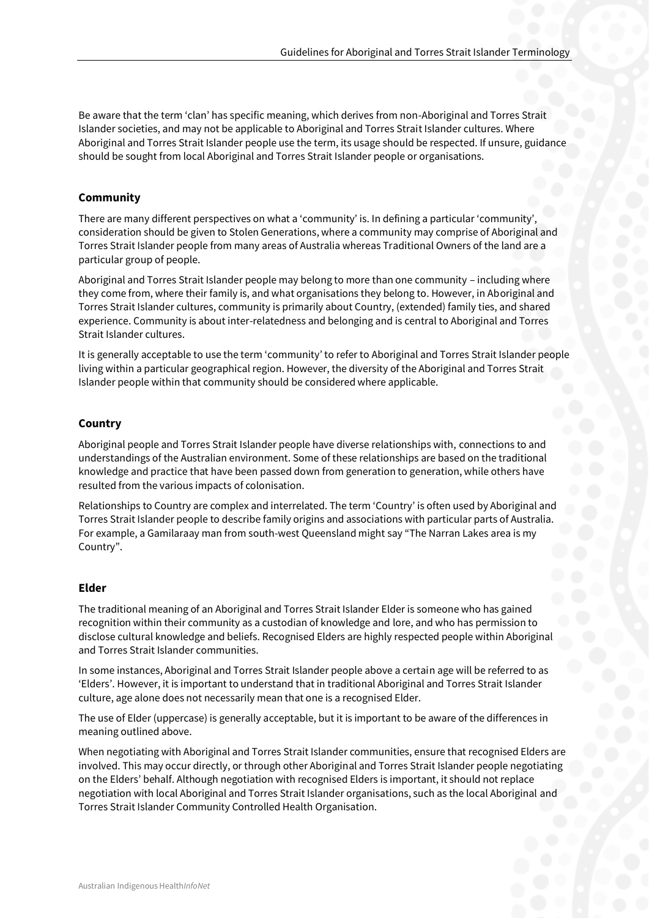Be aware that the term 'clan' has specific meaning, which derives from non-Aboriginal and Torres Strait Islander societies, and may not be applicable to Aboriginal and Torres Strait Islander cultures. Where Aboriginal and Torres Strait Islander people use the term, its usage should be respected. If unsure, guidance should be sought from local Aboriginal and Torres Strait Islander people or organisations.

# **Community**

There are many different perspectives on what a 'community' is. In defining a particular 'community', consideration should be given to Stolen Generations, where a community may comprise of Aboriginal and Torres Strait Islander people from many areas of Australia whereas Traditional Owners of the land are a particular group of people.

Aboriginal and Torres Strait Islander people may belong to more than one community – including where they come from, where their family is, and what organisations they belong to. However, in Aboriginal and Torres Strait Islander cultures, community is primarily about Country, (extended) family ties, and shared experience. Community is about inter-relatedness and belonging and is central to Aboriginal and Torres Strait Islander cultures.

It is generally acceptable to use the term 'community' to refer to Aboriginal and Torres Strait Islander people living within a particular geographical region. However, the diversity of the Aboriginal and Torres Strait Islander people within that community should be considered where applicable.

# **Country**

Aboriginal people and Torres Strait Islander people have diverse relationships with, connections to and understandings of the Australian environment. Some of these relationships are based on the traditional knowledge and practice that have been passed down from generation to generation, while others have resulted from the various impacts of colonisation.

Relationships to Country are complex and interrelated. The term 'Country' is often used by Aboriginal and Torres Strait Islander people to describe family origins and associations with particular parts of Australia. For example, a Gamilaraay man from south-west Queensland might say "The Narran Lakes area is my Country".

#### **Elder**

The traditional meaning of an Aboriginal and Torres Strait Islander Elder is someone who has gained recognition within their community as a custodian of knowledge and lore, and who has permission to disclose cultural knowledge and beliefs. Recognised Elders are highly respected people within Aboriginal and Torres Strait Islander communities.

In some instances, Aboriginal and Torres Strait Islander people above a certain age will be referred to as 'Elders'. However, it is important to understand that in traditional Aboriginal and Torres Strait Islander culture, age alone does not necessarily mean that one is a recognised Elder.

The use of Elder (uppercase) is generally acceptable, but it is important to be aware of the differences in meaning outlined above.

When negotiating with Aboriginal and Torres Strait Islander communities, ensure that recognised Elders are involved. This may occur directly, or through other Aboriginal and Torres Strait Islander people negotiating on the Elders' behalf. Although negotiation with recognised Elders is important, it should not replace negotiation with local Aboriginal and Torres Strait Islander organisations, such as the local Aboriginal and Torres Strait Islander Community Controlled Health Organisation.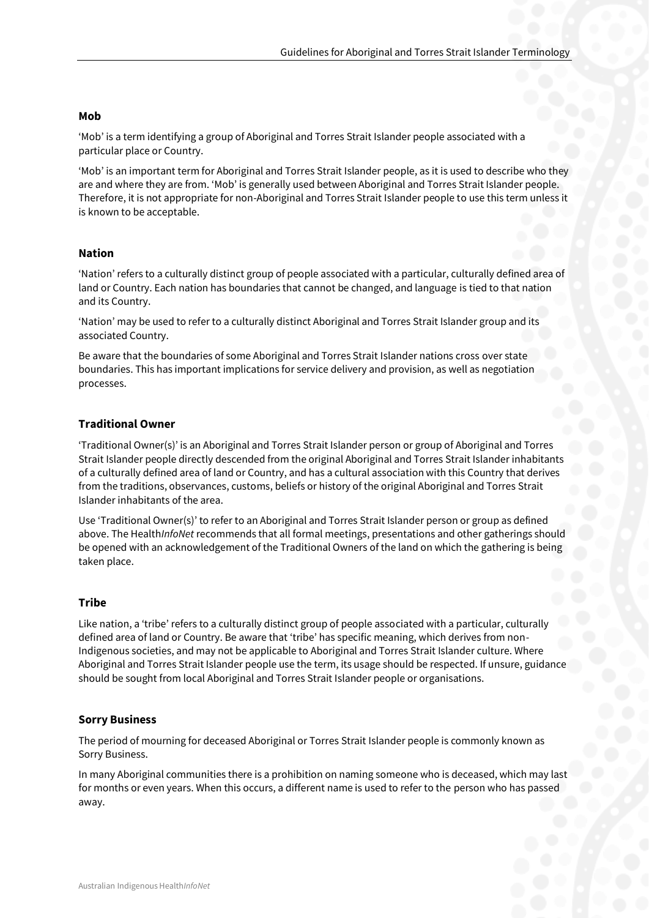#### **Mob**

'Mob' is a term identifying a group of Aboriginal and Torres Strait Islander people associated with a particular place or Country.

'Mob' is an important term for Aboriginal and Torres Strait Islander people, as it is used to describe who they are and where they are from. 'Mob' is generally used between Aboriginal and Torres Strait Islander people. Therefore, it is not appropriate for non-Aboriginal and Torres Strait Islander people to use this term unless it is known to be acceptable.

#### **Nation**

'Nation' refers to a culturally distinct group of people associated with a particular, culturally defined area of land or Country. Each nation has boundaries that cannot be changed, and language is tied to that nation and its Country.

'Nation' may be used to refer to a culturally distinct Aboriginal and Torres Strait Islander group and its associated Country.

Be aware that the boundaries of some Aboriginal and Torres Strait Islander nations cross over state boundaries. This has important implications for service delivery and provision, as well as negotiation processes.

#### **Traditional Owner**

'Traditional Owner(s)' is an Aboriginal and Torres Strait Islander person or group of Aboriginal and Torres Strait Islander people directly descended from the original Aboriginal and Torres Strait Islander inhabitants of a culturally defined area of land or Country, and has a cultural association with this Country that derives from the traditions, observances, customs, beliefs or history of the original Aboriginal and Torres Strait Islander inhabitants of the area.

Use 'Traditional Owner(s)' to refer to an Aboriginal and Torres Strait Islander person or group as defined above. The Health*InfoNet* recommends that all formal meetings, presentations and other gatherings should be opened with an acknowledgement of the Traditional Owners of the land on which the gathering is being taken place.

#### **Tribe**

Like nation, a 'tribe' refers to a culturally distinct group of people associated with a particular, culturally defined area of land or Country. Be aware that 'tribe' has specific meaning, which derives from non-Indigenous societies, and may not be applicable to Aboriginal and Torres Strait Islander culture. Where Aboriginal and Torres Strait Islander people use the term, its usage should be respected. If unsure, guidance should be sought from local Aboriginal and Torres Strait Islander people or organisations.

#### **Sorry Business**

The period of mourning for deceased Aboriginal or Torres Strait Islander people is commonly known as Sorry Business.

In many Aboriginal communities there is a prohibition on naming someone who is deceased, which may last for months or even years. When this occurs, a different name is used to refer to the person who has passed away.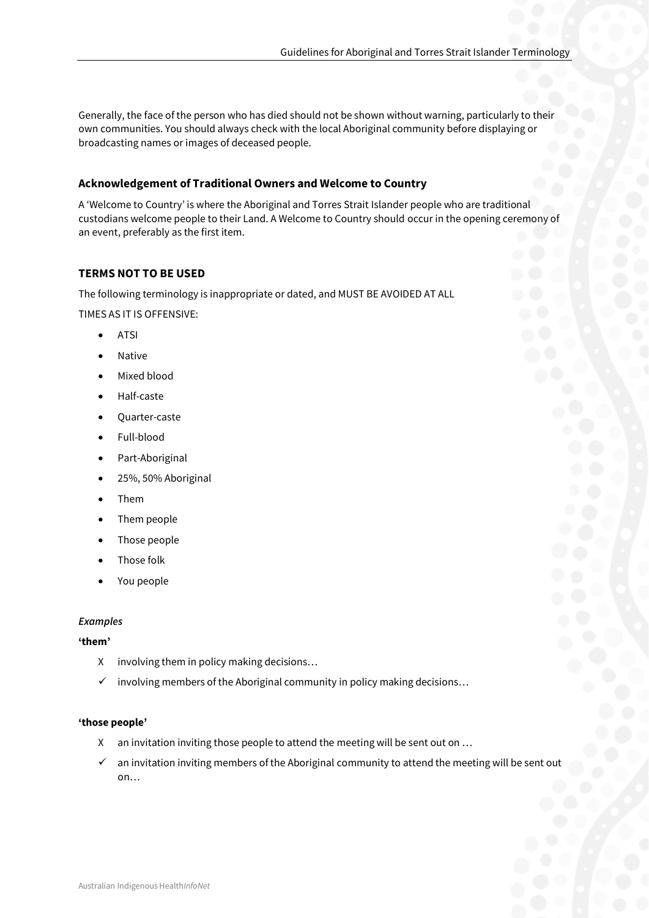Generally, the face of the person who has died should not be shown without warning, particularly to their own communities. You should always check with the local Aboriginal community before displaying or broadcasting names or images of deceased people.

# **Acknowledgement of Traditional Owners and Welcome to Country**

A 'Welcome to Country' is where the Aboriginal and Torres Strait Islander people who are traditional custodians welcome people to their Land. A Welcome to Country should occur in the opening ceremony of an event, preferably as the first item.

# **TERMS NOT TO BE USED**

The following terminology is inappropriate or dated, and MUST BE AVOIDED AT ALL

TIMES AS IT IS OFFENSIVE:

- **ATSI**
- Native
- Mixed blood
- Half-caste
- Quarter-caste
- Full-blood
- Part-Aboriginal
- 25%, 50% Aboriginal
- Them
- Them people
- Those people
- Those folk
- You people

#### *Examples*

#### **'them'**

- X involving them in policy making decisions…
- $\checkmark$  involving members of the Aboriginal community in policy making decisions...

#### **'those people'**

- X an invitation inviting those people to attend the meeting will be sent out on …
- $\checkmark$  an invitation inviting members of the Aboriginal community to attend the meeting will be sent out on…